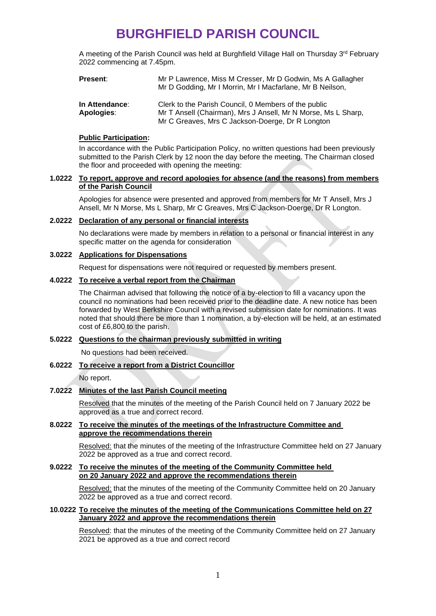# **BURGHFIELD PARISH COUNCIL**

A meeting of the Parish Council was held at Burghfield Village Hall on Thursday 3<sup>rd</sup> February 2022 commencing at 7.45pm.

| <b>Present:</b> | Mr P Lawrence, Miss M Cresser, Mr D Godwin, Ms A Gallagher<br>Mr D Godding, Mr I Morrin, Mr I Macfarlane, Mr B Neilson, |
|-----------------|-------------------------------------------------------------------------------------------------------------------------|
| In Attendance:  | Clerk to the Parish Council, 0 Members of the public                                                                    |
| Apologies:      | Mr T Ansell (Chairman), Mrs J Ansell, Mr N Morse, Ms L Sharp,                                                           |

#### **Public Participation:**

In accordance with the Public Participation Policy, no written questions had been previously submitted to the Parish Clerk by 12 noon the day before the meeting. The Chairman closed the floor and proceeded with opening the meeting:

Mr C Greaves, Mrs C Jackson-Doerge, Dr R Longton

#### **1.0222 To report, approve and record apologies for absence (and the reasons) from members of the Parish Council**

Apologies for absence were presented and approved from members for Mr T Ansell, Mrs J Ansell, Mr N Morse, Ms L Sharp, Mr C Greaves, Mrs C Jackson-Doerge, Dr R Longton.

### **2.0222 Declaration of any personal or financial interests**

No declarations were made by members in relation to a personal or financial interest in any specific matter on the agenda for consideration

### **3.0222 Applications for Dispensations**

Request for dispensations were not required or requested by members present.

#### **4.0222 To receive a verbal report from the Chairman**

The Chairman advised that following the notice of a by-election to fill a vacancy upon the council no nominations had been received prior to the deadline date. A new notice has been forwarded by West Berkshire Council with a revised submission date for nominations. It was noted that should there be more than 1 nomination, a by-election will be held, at an estimated cost of £6,800 to the parish.

## **5.0222 Questions to the chairman previously submitted in writing**

No questions had been received.

#### **6.0222 To receive a report from a District Councillor**

No report.

#### **7.0222 Minutes of the last Parish Council meeting**

Resolved that the minutes of the meeting of the Parish Council held on 7 January 2022 be approved as a true and correct record.

#### **8.0222 To receive the minutes of the meetings of the Infrastructure Committee and approve the recommendations therein**

Resolved: that the minutes of the meeting of the Infrastructure Committee held on 27 January 2022 be approved as a true and correct record.

#### **9.0222 To receive the minutes of the meeting of the Community Committee held on 20 January 2022 and approve the recommendations therein**

Resolved: that the minutes of the meeting of the Community Committee held on 20 January 2022 be approved as a true and correct record.

### **10.0222 To receive the minutes of the meeting of the Communications Committee held on 27 January 2022 and approve the recommendations therein**

Resolved: that the minutes of the meeting of the Community Committee held on 27 January 2021 be approved as a true and correct record